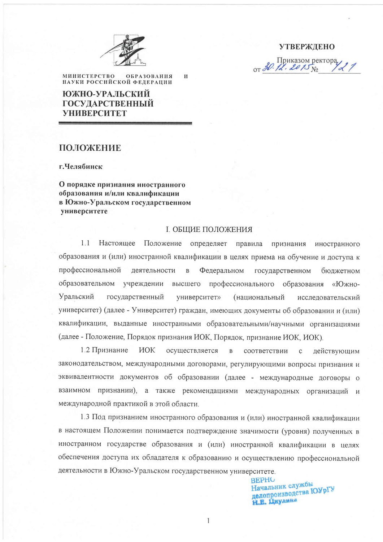

#### **УТВЕРЖДЕНО**

Приказом ректора,  $d'$ 

**МИНИСТЕРСТВО ОБРАЗОВАНИЯ**  $\overline{M}$ НАУКИ РОССИЙСКОЙ ФЕДЕРАЦИИ

# ЮЖНО-УРАЛЬСКИЙ **ГОСУДАРСТВЕННЫЙ УНИВЕРСИТЕТ**

## **ПОЛОЖЕНИЕ**

г.Челябинск

О порядке признания иностранного образования и/или квалификации в Южно-Уральском государственном университете

### **І. ОБЩИЕ ПОЛОЖЕНИЯ**

 $1.1$ Настоящее Положение определяет правила признания иностранного образования и (или) иностранной квалификации в целях приема на обучение и доступа к профессиональной деятельности  $\mathbf{B}$ Федеральном государственном бюджетном образовательном учреждении высшего профессионального образования «Южногосударственный Уральский университет» (национальный исследовательский университет) (далее - Университет) граждан, имеющих документы об образовании и (или) квалификации, выданные иностранными образовательными/научными организациями (далее - Положение, Порядок признания ИОК, Порядок, признание ИОК, ИОК).

1.2 Признание **ИОК** осуществляется  $\overline{B}$ соответствии лействующим  $\mathbf{C}$ законодательством, международными договорами, регулирующими вопросы признания и эквивалентности документов об образовании (далее - международные договоры о взаимном признании), а также рекомендациями международных организаций и международной практикой в этой области.

1.3 Под признанием иностранного образования и (или) иностранной квалификации в настоящем Положении понимается подтверждение значимости (уровня) полученных в иностранном государстве образования и (или) иностранной квалификации в целях обеспечения доступа их обладателя к образованию и осуществлению профессиональной деятельности в Южно-Уральском государственном университете.

> **BEPHO** Начальник службы делопроизводства ЮУрГУ H.E. LLuynuna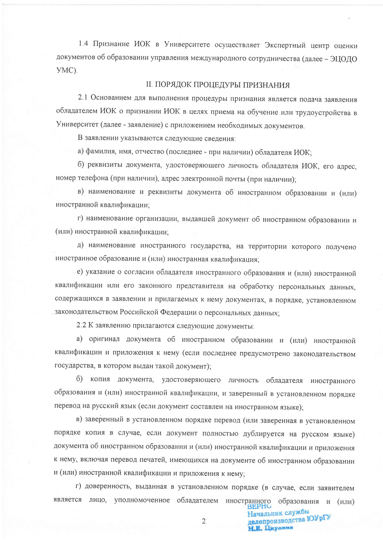1.4 Признание ИОК в Университете осуществляет Экспертный центр оценки документов об образовании управления международного сотрудничества (далее - ЭЦОДО YMC).

## **II. ПОРЯДОК ПРОЦЕДУРЫ ПРИЗНАНИЯ**

2.1 Основанием для выполнения процедуры признания является подача заявления обладателем ИОК о признании ИОК в целях приема на обучение или трудоустройства в Университет (далее - заявление) с приложением необходимых документов.

В заявлении указываются следующие сведения:

а) фамилия, имя, отчество (последнее - при наличии) обладателя ИОК;

б) реквизиты документа, удостоверяющего личность обладателя ИОК, его адрес, номер телефона (при наличии), адрес электронной почты (при наличии);

в) наименование и реквизиты документа об иностранном образовании и (или) иностранной квалификации;

г) наименование организации, выдавшей документ об иностранном образовании и (или) иностранной квалификации:

д) наименование иностранного государства, на территории которого получено иностранное образование и (или) иностранная квалификация;

е) указание о согласии обладателя иностранного образования и (или) иностранной квалификации или его законного представителя на обработку персональных данных, содержащихся в заявлении и прилагаемых к нему документах, в порядке, установленном законодательством Российской Федерации о персональных данных;

2.2 К заявлению прилагаются следующие документы:

а) оригинал документа об иностранном образовании и (или) иностранной квалификации и приложения к нему (если последнее предусмотрено законодательством государства, в котором выдан такой документ);

б) копия документа, удостоверяющего личность обладателя иностранного образования и (или) иностранной квалификации, и заверенный в установленном порядке перевод на русский язык (если документ составлен на иностранном языке);

в) заверенный в установленном порядке перевод (или заверенная в установленном порядке копия в случае, если документ полностью дублируется на русском языке) документа об иностранном образовании и (или) иностранной квалификации и приложения к нему, включая перевод печатей, имеющихся на документе об иностранном образовании и (или) иностранной квалификации и приложения к нему;

г) доверенность, выданная в установленном порядке (в случае, если заявителем является лицо, уполномоченное обладателем иностранного образования и (или)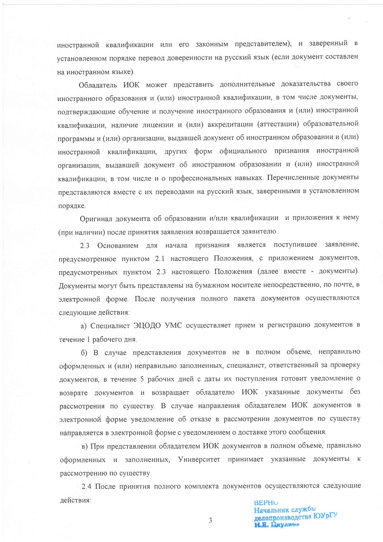иностранной квалификации или его законным представителем), и заверенный в установленном порядке перевод доверенности на русский язык (если документ составлен на иностранном языке).

Обладатель ИОК может представить дополнительные доказательства своего иностранного образования и (или) иностранной квалификации, в том числе документы, подтверждающие обучение и получение иностранного образования и (или) иностранной квалификации, наличие лицензии и (или) аккредитации (аттестации) образовательной программы и (или) организации, выдавшей документ об иностранном образовании и (или) иностранной квалификации, других форм официального признания иностранной организации, выдавшей документ об иностранном образовании и (или) иностранной квалификации, в том числе и о профессиональных навыках. Перечисленные документы представляются вместе с их переводами на русский язык, заверенными в установленном порядке.

Оригинал документа об образовании и/или квалификации и приложения к нему (при наличии) после принятия заявления возвращается заявителю.

2.3 Основанием для начала признания является поступившее заявление, предусмотренное пунктом 2.1 настоящего Положения, с приложением документов, предусмотренных пунктом 2.3 настоящего Положения (далее вместе - документы). Документы могут быть представлены на бумажном носителе непосредственно, по почте, в электронной форме. После получения полного пакета документов осуществляются следующие действия:

а) Специалист ЭЦОДО УМС осуществляет прием и регистрацию документов в течение 1 рабочего дня.

б) В случае представления документов не в полном объеме, неправильно оформленных и (или) неправильно заполненных, специалист, ответственный за проверку документов, в течение 5 рабочих дней с даты их поступления готовит уведомление о возврате документов и возвращает обладателю ИОК указанные документы без рассмотрения по существу. В случае направления обладателем ИОК документов в электронной форме уведомление об отказе в рассмотрении документов по существу направляется в электронной форме с уведомлением о доставке этого сообщения.

в) При представлении обладателем ИОК документов в полном объеме, правильно оформленных и заполненных, Университет принимает указанные документы к рассмотрению по существу.

2.4 После принятия полного комплекта документов осуществляются следующие действия: **BEPHO** 

3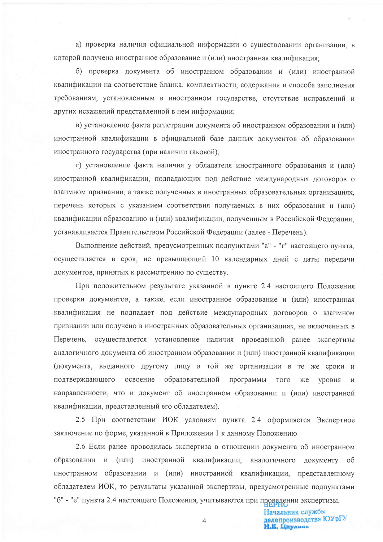а) проверка наличия официальной информации о существовании организации, в которой получено иностранное образование и (или) иностранная квалификация;

б) проверка документа об иностранном образовании и (или) иностранной квалификации на соответствие бланка, комплектности, содержания и способа заполнения требованиям, установленным в иностранном государстве, отсутствие исправлений и других искажений представленной в нем информации;

в) установление факта регистрации документа об иностранном образовании и (или) иностранной квалификации в официальной базе данных документов об образовании иностранного государства (при наличии таковой);

г) установление факта наличия у обладателя иностранного образования и (или) иностранной квалификации, подпадающих под действие международных договоров о взаимном признании, а также полученных в иностранных образовательных организациях, перечень которых с указанием соответствия получаемых в них образования и (или) квалификации образованию и (или) квалификации, полученным в Российской Федерации, устанавливается Правительством Российской Федерации (далее - Перечень).

Выполнение действий, предусмотренных подпунктами "а" - "г" настоящего пункта, осуществляется в срок, не превышающий 10 календарных дней с даты передачи документов, принятых к рассмотрению по существу.

При положительном результате указанной в пункте 2.4 настоящего Положения проверки документов, а также, если иностранное образование и (или) иностранная квалификация не подпадает под действие международных договоров о взаимном признании или получено в иностранных образовательных организациях, не включенных в Перечень, осуществляется установление наличия проведенной ранее экспертизы аналогичного документа об иностранном образовании и (или) иностранной квалификации (документа, выданного другому лицу в той же организации в те же сроки и освоение образовательной подтверждающего программы **TOLO** же уровня  $\mathbf{M}$ направленности, что и документ об иностранном образовании и (или) иностранной квалификации, представленный его обладателем).

2.5 При соответствии ИОК условиям пункта 2.4 оформляется Экспертное заключение по форме, указанной в Приложении 1 к данному Положению.

2.6 Если ранее проводилась экспертиза в отношении документа об иностранном образовании и (или) иностранной квалификации, аналогичного документу об иностранном образовании и (или) иностранной квалификации, представленному обладателем ИОК, то результаты указанной экспертизы, предусмотренные подпунктами "б" - "е" пункта 2.4 настоящего Положения, учитываются при проведении экспертизы.

 $\overline{4}$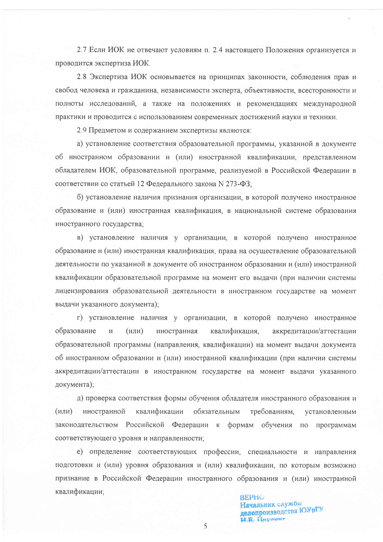2.7 Если ИОК не отвечают условиям п. 2.4 настоящего Положения организуется и проводится экспертиза ИОК.

2.8 Экспертиза ИОК основывается на принципах законности, соблюдения прав и свобод человека и гражданина, независимости эксперта, объективности, всесторонности и полноты исследований, а также на положениях и рекомендациях международной практики и проводится с использованием современных достижений науки и техники.

2.9 Предметом и содержанием экспертизы являются:

а) установление соответствия образовательной программы, указанной в документе об иностранном образовании и (или) иностранной квалификации, представленном обладателем ИОК, образовательной программе, реализуемой в Российской Федерации в соответствии со статьей 12 Федерального закона N 273-ФЗ;

б) установление наличия признания организации, в которой получено иностранное образование и (или) иностранная квалификация, в национальной системе образования иностранного государства;

в) установление наличия у организации, в которой получено иностранное образование и (или) иностранная квалификация, права на осуществление образовательной деятельности по указанной в документе об иностранном образовании и (или) иностранной квалификации образовательной программе на момент его выдачи (при наличии системы лицензирования образовательной деятельности в иностранном государстве на момент выдачи указанного документа);

г) установление наличия у организации, в которой получено иностранное образование  $(MJ)$ иностранная квалификация, аккредитации/аттестации И образовательной программы (направления, квалификации) на момент выдачи документа об иностранном образовании и (или) иностранной квалификации (при наличии системы аккредитации/аттестации в иностранном государстве на момент выдачи указанного документа);

д) проверка соответствия формы обучения обладателя иностранного образования и  $(MJ)$ иностранной квалификации обязательным требованиям, установленным законодательством Российской Федерации к формам обучения по программам соответствующего уровня и направленности;

е) определение соответствующих профессии, специальности и направления подготовки и (или) уровня образования и (или) квалификации, по которым возможно признание в Российской Федерации иностранного образования и (или) иностранной квалификации;

**BEPHO** Начальник службы делопроизводства ЮУрГУ H.R. Huynnus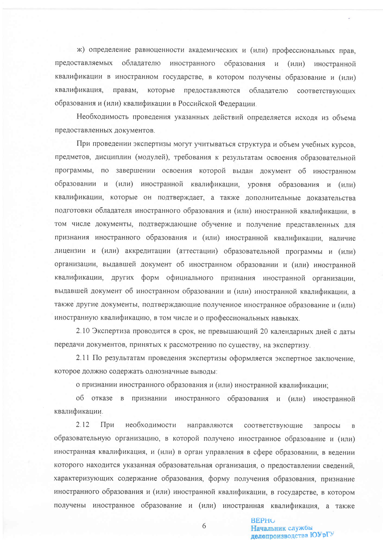ж) определение равноценности академических и (или) профессиональных прав, предоставляемых обладателю иностранного образования и (или) иностранной квалификации в иностранном государстве, в котором получены образование и (или) квалификация. правам, которые предоставляются обладателю соответствующих образования и (или) квалификации в Российской Федерации.

Необходимость проведения указанных действий определяется исходя из объема предоставленных документов.

При проведении экспертизы могут учитываться структура и объем учебных курсов, предметов, дисциплин (модулей), требования к результатам освоения образовательной программы, по завершении освоения которой выдан документ об иностранном образовании и (или) иностранной квалификации, уровня образования и (или) квалификации, которые он подтверждает, а также дополнительные доказательства подготовки обладателя иностранного образования и (или) иностранной квалификации, в том числе документы, подтверждающие обучение и получение представленных для признания иностранного образования и (или) иностранной квалификации, наличие лицензии и (или) аккредитации (аттестации) образовательной программы и (или) организации, выдавшей документ об иностранном образовании и (или) иностранной квалификации, других форм официального признания иностранной организации, выдавшей документ об иностранном образовании и (или) иностранной квалификации, а также другие документы, подтверждающие полученное иностранное образование и (или) иностранную квалификацию, в том числе и о профессиональных навыках.

2.10 Экспертиза проводится в срок, не превышающий 20 календарных дней с даты передачи документов, принятых к рассмотрению по существу, на экспертизу.

2.11 По результатам проведения экспертизы оформляется экспертное заключение, которое должно содержать однозначные выводы:

о признании иностранного образования и (или) иностранной квалификации;

об отказе в признании иностранного образования и (или) иностранной квалификации.

 $2.12$ При необходимости направляются соответствующие запросы образовательную организацию, в которой получено иностранное образование и (или) иностранная квалификация, и (или) в орган управления в сфере образовании, в ведении которого находится указанная образовательная организация, о предоставлении сведений, характеризующих содержание образования, форму получения образования, признание иностранного образования и (или) иностранной квалификации, в государстве, в котором получены иностранное образование и (или) иностранная квалификация, а также

6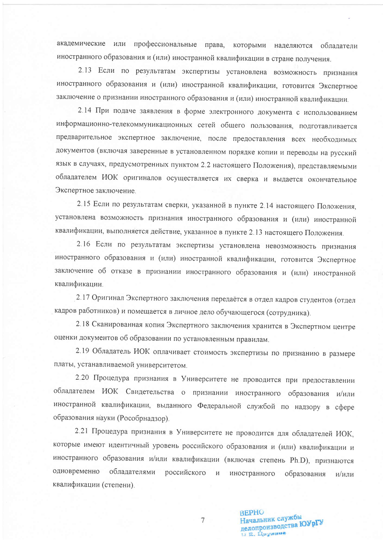академические или профессиональные права, которыми наделяются обладатели иностранного образования и (или) иностранной квалификации в стране получения.

2.13 Если по результатам экспертизы установлена возможность признания иностранного образования и (или) иностранной квалификации, готовится Экспертное заключение о признании иностранного образования и (или) иностранной квалификации.

2.14 При подаче заявления в форме электронного документа с использованием информационно-телекоммуникационных сетей общего пользования, подготавливается предварительное экспертное заключение, после предоставления всех необходимых документов (включая заверенные в установленном порядке копии и переводы на русский язык в случаях, предусмотренных пунктом 2.2 настоящего Положения), представляемыми обладателем ИОК оригиналов осуществляется их сверка и выдается окончательное Экспертное заключение.

2.15 Если по результатам сверки, указанной в пункте 2.14 настоящего Положения, установлена возможность признания иностранного образования и (или) иностранной квалификации, выполняется действие, указанное в пункте 2.13 настоящего Положения.

2.16 Если по результатам экспертизы установлена невозможность признания иностранного образования и (или) иностранной квалификации, готовится Экспертное заключение об отказе в признании иностранного образования и (или) иностранной квалификации.

2.17 Оригинал Экспертного заключения передаётся в отдел кадров студентов (отдел кадров работников) и помещается в личное дело обучающегося (сотрудника).

2.18 Сканированная копия Экспертного заключения хранится в Экспертном центре оценки документов об образовании по установленным правилам.

2.19 Обладатель ИОК оплачивает стоимость экспертизы по признанию в размере платы, устанавливаемой университетом.

2.20 Процедура признания в Университете не проводится при предоставлении обладателем ИОК Свидетельства о признании иностранного образования и/или иностранной квалификации, выданного Федеральной службой по надзору в сфере образования науки (Рособрнадзор).

2.21 Процедура признания в Университете не проводится для обладателей ИОК, которые имеют идентичный уровень российского образования и (или) квалификации и иностранного образования и/или квалификации (включая степень Ph.D), признаются одновременно обладателями российского и иностранного образования и/или квалификации (степени).

> Начальник службы делопроизводства ЮУрГУ FR. Huysses

 $7\phantom{.0}$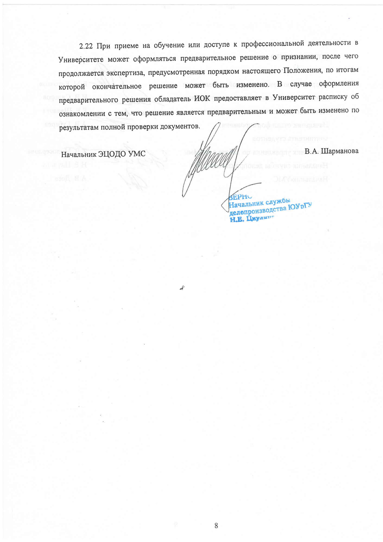2.22 При приеме на обучение или доступе к профессиональной деятельности в Университете может оформляться предварительное решение о признании, после чего продолжается экспертиза, предусмотренная порядком настоящего Положения, по итогам которой окончательное решение может быть изменено. В случае оформления предварительного решения обладатель ИОК предоставляет в Университет расписку об ознакомлении с тем, что решение является предварительным и может быть изменено по результатам полной проверки документов.

d

Начальник ЭЦОДО УМС

В.А. Шарманова EPH Начальник службы делопроизводства ЮУрГУ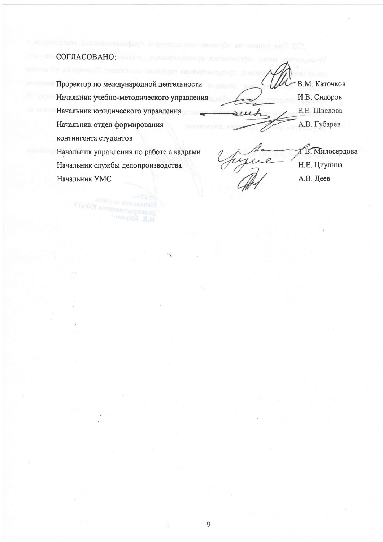#### COFJIACOBAHO: NATIONAL COFJIACOBAHO:

Проректор по международной деятельности Начальник учебно-методического управления Начальник юридического управления Начальник отдел формирования контингента студентов Начальник управления по работе с кадрами Начальник службы делопроизводства Начальник УМС

H.E. Livrance

В.М. Каточков И.В. Сидоров Е.Е. Шведова  $\frac{1}{2}$ А.В. Губарев

Т.В. Милосердова Н.Е. Циулина А.В. Деев

9